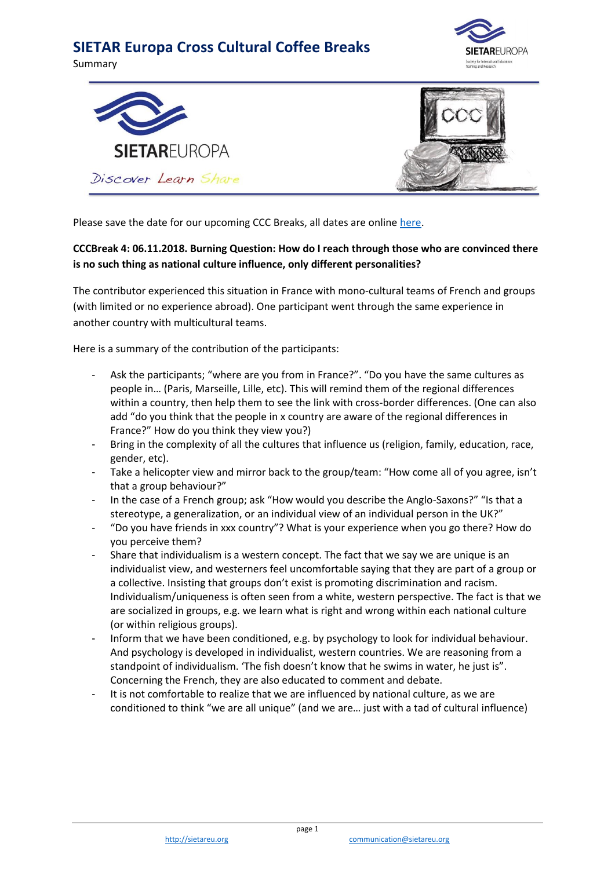## **SIETAR Europa Cross Cultural Coffee Breaks**

Summary







Please save the date for our upcoming CCC Breaks, all dates are online [here.](https://www.sietareu.org/activities/cross-cultural-coffee-breaks)

## **CCCBreak 4: 06.11.2018. Burning Question: How do I reach through those who are convinced there is no such thing as national culture influence, only different personalities?**

The contributor experienced this situation in France with mono-cultural teams of French and groups (with limited or no experience abroad). One participant went through the same experience in another country with multicultural teams.

Here is a summary of the contribution of the participants:

- Ask the participants; "where are you from in France?". "Do you have the same cultures as people in… (Paris, Marseille, Lille, etc). This will remind them of the regional differences within a country, then help them to see the link with cross-border differences. (One can also add "do you think that the people in x country are aware of the regional differences in France?" How do you think they view you?)
- Bring in the complexity of all the cultures that influence us (religion, family, education, race, gender, etc).
- Take a helicopter view and mirror back to the group/team: "How come all of you agree, isn't that a group behaviour?"
- In the case of a French group; ask "How would you describe the Anglo-Saxons?" "Is that a stereotype, a generalization, or an individual view of an individual person in the UK?"
- "Do you have friends in xxx country"? What is your experience when you go there? How do you perceive them?
- Share that individualism is a western concept. The fact that we say we are unique is an individualist view, and westerners feel uncomfortable saying that they are part of a group or a collective. Insisting that groups don't exist is promoting discrimination and racism. Individualism/uniqueness is often seen from a white, western perspective. The fact is that we are socialized in groups, e.g. we learn what is right and wrong within each national culture (or within religious groups).
- Inform that we have been conditioned, e.g. by psychology to look for individual behaviour. And psychology is developed in individualist, western countries. We are reasoning from a standpoint of individualism. 'The fish doesn't know that he swims in water, he just is". Concerning the French, they are also educated to comment and debate.
- It is not comfortable to realize that we are influenced by national culture, as we are conditioned to think "we are all unique" (and we are… just with a tad of cultural influence)